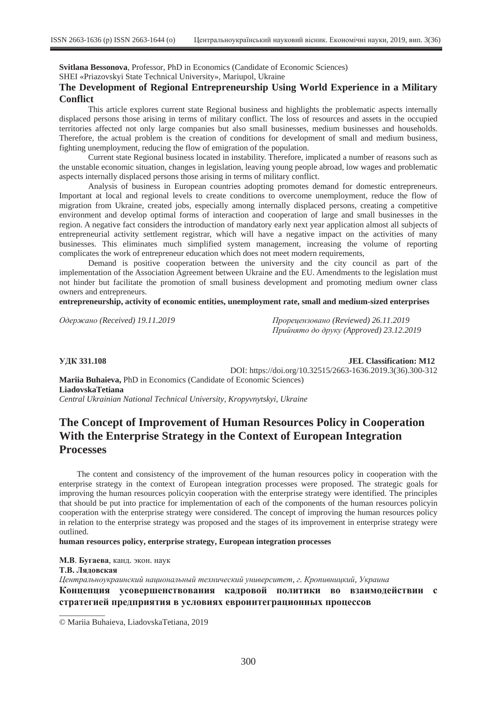**Svitlana Bessonova**, Professor, PhD in Economics (Candidate of Economic Sciences)

SHEI «Priazovskyi State Technical University», Mariupol, Ukraine

### **The Development of Regional Entrepreneurship Using World Experience in a Military Conflict**

This article explores current state Regional business and highlights the problematic aspects internally displaced persons those arising in terms of military conflict. The loss of resources and assets in the occupied territories affected not only large companies but also small businesses, medium businesses and households. Therefore, the actual problem is the creation of conditions for development of small and medium business, fighting unemployment, reducing the flow of emigration of the population.

Current state Regional business located in instability. Therefore, implicated a number of reasons such as the unstable economic situation, changes in legislation, leaving young people abroad, low wages and problematic aspects internally displaced persons those arising in terms of military conflict.

Analysis of business in European countries adopting promotes demand for domestic entrepreneurs. Important at local and regional levels to create conditions to overcome unemployment, reduce the flow of migration from Ukraine, created jobs, especially among internally displaced persons, creating a competitive environment and develop optimal forms of interaction and cooperation of large and small businesses in the region. A negative fact considers the introduction of mandatory early next year application almost all subjects of entrepreneurial activity settlement registrar, which will have a negative impact on the activities of many businesses. This eliminates much simplified system management, increasing the volume of reporting complicates the work of entrepreneur education which does not meet modern requirements,

Demand is positive cooperation between the university and the city council as part of the implementation of the Association Agreement between Ukraine and the EU. Amendments to the legislation must not hinder but facilitate the promotion of small business development and promoting medium owner class owners and entrepreneurs.

**entrepreneurship, activity of economic entities, unemployment rate, small and medium-sized enterprises** 

*Ɉɞɟɪɠɚɧɨ (Received) 19.11.2019 ɉɪɨɪɟɰɟɧɡɨɜɚɧɨ (Reviewed) 26.11.2019 ɉɪɢɣɧɹɬɨ ɞɨ ɞɪɭɤɭ (Approved) 23.12.2019* 

\_\_\_\_\_\_\_\_\_\_\_

**V**IK 331.108 **JEL Classification: M12** 

DOI: https://doi.org/10.32515/2663-1636.2019.3(36).300-312

**Mariia Buhaieva,** PhD in Economics (Candidate of Economic Sciences) **LiadovskaTetiana** *Central Ukrainian National Technical University, Kropyvnytskyi, Ukraine* 

# **The Concept of Improvement of Human Resources Policy in Cooperation With the Enterprise Strategy in the Context of European Integration Processes**

The content and consistency of the improvement of the human resources policy in cooperation with the enterprise strategy in the context of European integration processes were proposed. The strategic goals for improving the human resources policyin cooperation with the enterprise strategy were identified. The principles that should be put into practice for implementation of each of the components of the human resources policyin cooperation with the enterprise strategy were considered. The concept of improving the human resources policy in relation to the enterprise strategy was proposed and the stages of its improvement in enterprise strategy were outlined.

**human resources policy, enterprise strategy, European integration processes** 

М.В. Бугаева, канд. экон. наук **Т.В. Ляловская**  $I$  *Иентральноукраинский национальный технический университет, г. Кропивницкий, Украина* Концепция усовершенствования калровой политики во взаимолействии с **ктратегией предприятия в условиях евроинтеграционных процессов** 

© Mariia Buhaieva, LiadovskaTetiana, 2019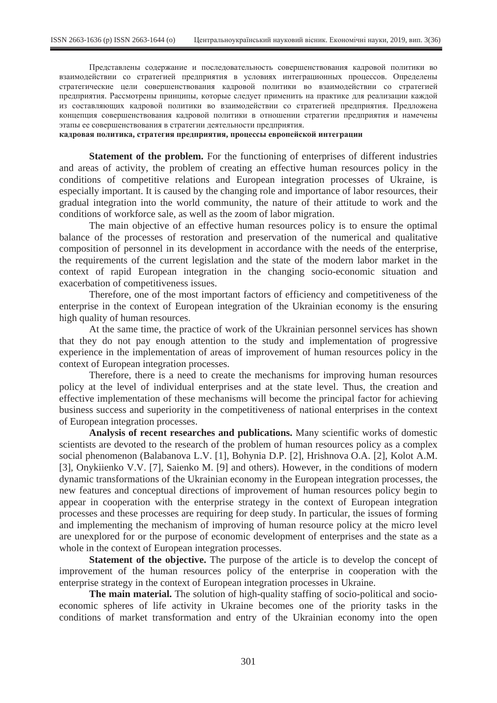Представлены содержание и последовательность совершенствования кадровой политики во взаимодействии со стратегией предприятия в условиях интеграционных процессов. Определены стратегические цели совершенствования кадровой политики во взаимодействии со стратегией предприятия. Рассмотрены принципы, которые следует применить на практике для реализации каждой из составляющих кадровой политики во взаимодействии со стратегией предприятия. Предложена концепция совершенствования калровой политики в отношении стратегии предприятия и намечены этапы ее совершенствования в стратегии деятельности предприятия.

**кадровая политика, стратегия предприятия, процессы европейской интеграции** 

**Statement of the problem.** For the functioning of enterprises of different industries and areas of activity, the problem of creating an effective human resources policy in the conditions of competitive relations and European integration processes of Ukraine, is especially important. It is caused by the changing role and importance of labor resources, their gradual integration into the world community, the nature of their attitude to work and the conditions of workforce sale, as well as the zoom of labor migration.

The main objective of an effective human resources policy is to ensure the optimal balance of the processes of restoration and preservation of the numerical and qualitative composition of personnel in its development in accordance with the needs of the enterprise, the requirements of the current legislation and the state of the modern labor market in the context of rapid European integration in the changing socio-economic situation and exacerbation of competitiveness issues.

Therefore, one of the most important factors of efficiency and competitiveness of the enterprise in the context of European integration of the Ukrainian economy is the ensuring high quality of human resources.

At the same time, the practice of work of the Ukrainian personnel services has shown that they do not pay enough attention to the study and implementation of progressive experience in the implementation of areas of improvement of human resources policy in the context of European integration processes.

Therefore, there is a need to create the mechanisms for improving human resources policy at the level of individual enterprises and at the state level. Thus, the creation and effective implementation of these mechanisms will become the principal factor for achieving business success and superiority in the competitiveness of national enterprises in the context of European integration processes.

**Analysis of recent researches and publications.** Many scientific works of domestic scientists are devoted to the research of the problem of human resources policy as a complex social phenomenon (Balabanova L.V. [1], Bohynia D.P. [2], Hrishnova O.A. [2], Kolot A.M. [3], Onykiienko V.V. [7], Saienko M. [9] and others). However, in the conditions of modern dynamic transformations of the Ukrainian economy in the European integration processes, the new features and conceptual directions of improvement of human resources policy begin to appear in cooperation with the enterprise strategy in the context of European integration processes and these processes are requiring for deep study. In particular, the issues of forming and implementing the mechanism of improving of human resource policy at the micro level are unexplored for or the purpose of economic development of enterprises and the state as a whole in the context of European integration processes.

**Statement of the objective.** The purpose of the article is to develop the concept of improvement of the human resources policy of the enterprise in cooperation with the enterprise strategy in the context of European integration processes in Ukraine.

**The main material.** The solution of high-quality staffing of socio-political and socioeconomic spheres of life activity in Ukraine becomes one of the priority tasks in the conditions of market transformation and entry of the Ukrainian economy into the open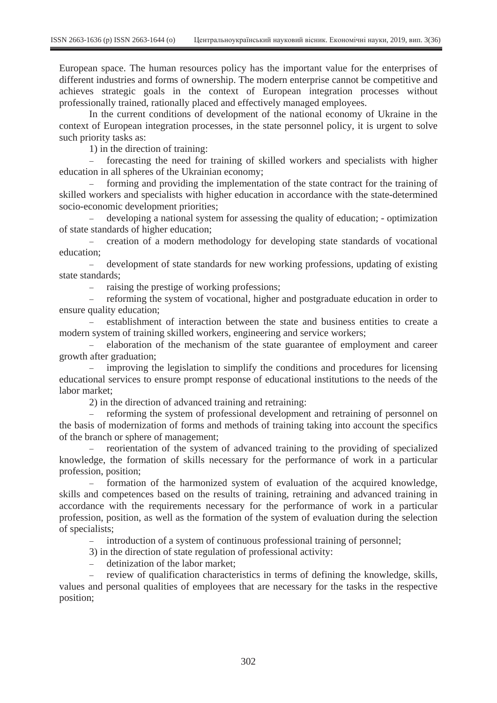European space. The human resources policy has the important value for the enterprises of different industries and forms of ownership. The modern enterprise cannot be competitive and achieves strategic goals in the context of European integration processes without professionally trained, rationally placed and effectively managed employees.

In the current conditions of development of the national economy of Ukraine in the context of European integration processes, in the state personnel policy, it is urgent to solve such priority tasks as:

1) in the direction of training:

 forecasting the need for training of skilled workers and specialists with higher education in all spheres of the Ukrainian economy;

 forming and providing the implementation of the state contract for the training of skilled workers and specialists with higher education in accordance with the state-determined socio-economic development priorities;

 developing a national system for assessing the quality of education; - optimization of state standards of higher education;

- creation of a modern methodology for developing state standards of vocational education;

 development of state standards for new working professions, updating of existing state standards;

- raising the prestige of working professions;

 reforming the system of vocational, higher and postgraduate education in order to ensure quality education;

 establishment of interaction between the state and business entities to create a modern system of training skilled workers, engineering and service workers;

 elaboration of the mechanism of the state guarantee of employment and career growth after graduation;

- improving the legislation to simplify the conditions and procedures for licensing educational services to ensure prompt response of educational institutions to the needs of the labor market;

2) in the direction of advanced training and retraining:

- reforming the system of professional development and retraining of personnel on the basis of modernization of forms and methods of training taking into account the specifics of the branch or sphere of management;

 reorientation of the system of advanced training to the providing of specialized knowledge, the formation of skills necessary for the performance of work in a particular profession, position;

 formation of the harmonized system of evaluation of the acquired knowledge, skills and competences based on the results of training, retraining and advanced training in accordance with the requirements necessary for the performance of work in a particular profession, position, as well as the formation of the system of evaluation during the selection of specialists;

- introduction of a system of continuous professional training of personnel;

3) in the direction of state regulation of professional activity:

- detinization of the labor market:

 review of qualification characteristics in terms of defining the knowledge, skills, values and personal qualities of employees that are necessary for the tasks in the respective position;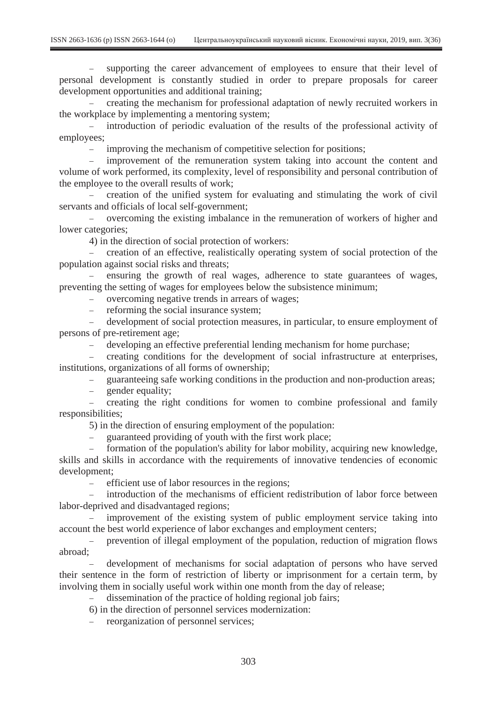- supporting the career advancement of employees to ensure that their level of personal development is constantly studied in order to prepare proposals for career development opportunities and additional training;

 creating the mechanism for professional adaptation of newly recruited workers in the workplace by implementing a mentoring system;

 introduction of periodic evaluation of the results of the professional activity of employees;

improving the mechanism of competitive selection for positions;

 improvement of the remuneration system taking into account the content and volume of work performed, its complexity, level of responsibility and personal contribution of the employee to the overall results of work;

 creation of the unified system for evaluating and stimulating the work of civil servants and officials of local self-government;

 overcoming the existing imbalance in the remuneration of workers of higher and lower categories;

4) in the direction of social protection of workers:

 creation of an effective, realistically operating system of social protection of the population against social risks and threats;

 ensuring the growth of real wages, adherence to state guarantees of wages, preventing the setting of wages for employees below the subsistence minimum;

overcoming negative trends in arrears of wages;

reforming the social insurance system;

 development of social protection measures, in particular, to ensure employment of persons of pre-retirement age;

developing an effective preferential lending mechanism for home purchase;

 creating conditions for the development of social infrastructure at enterprises, institutions, organizations of all forms of ownership;

guaranteeing safe working conditions in the production and non-production areas;

gender equality;

 creating the right conditions for women to combine professional and family responsibilities;

5) in the direction of ensuring employment of the population:

- guaranteed providing of youth with the first work place;

 formation of the population's ability for labor mobility, acquiring new knowledge, skills and skills in accordance with the requirements of innovative tendencies of economic development;

efficient use of labor resources in the regions;

 introduction of the mechanisms of efficient redistribution of labor force between labor-deprived and disadvantaged regions;

 improvement of the existing system of public employment service taking into account the best world experience of labor exchanges and employment centers;

 prevention of illegal employment of the population, reduction of migration flows abroad;

 development of mechanisms for social adaptation of persons who have served their sentence in the form of restriction of liberty or imprisonment for a certain term, by involving them in socially useful work within one month from the day of release;

dissemination of the practice of holding regional job fairs;

6) in the direction of personnel services modernization:

reorganization of personnel services;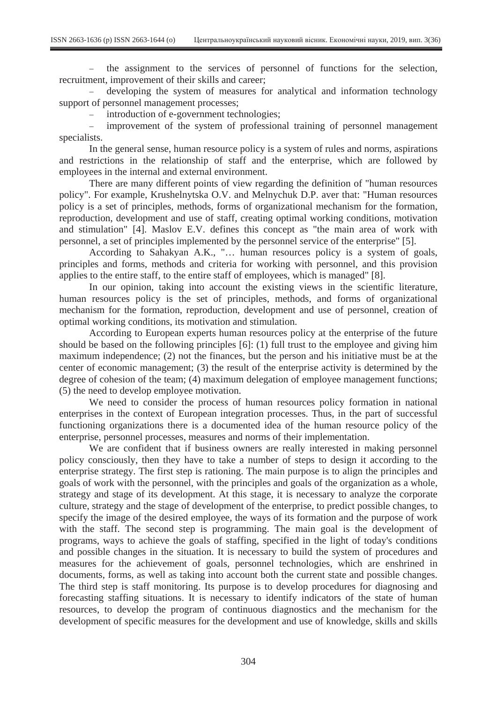the assignment to the services of personnel of functions for the selection, recruitment, improvement of their skills and career;

 developing the system of measures for analytical and information technology support of personnel management processes;

introduction of e-government technologies;

 improvement of the system of professional training of personnel management specialists.

In the general sense, human resource policy is a system of rules and norms, aspirations and restrictions in the relationship of staff and the enterprise, which are followed by employees in the internal and external environment.

There are many different points of view regarding the definition of "human resources policy". For example, Krushelnytska O.V. and Melnychuk D.P. aver that: "Human resources policy is a set of principles, methods, forms of organizational mechanism for the formation, reproduction, development and use of staff, creating optimal working conditions, motivation and stimulation" [4]. Maslov E.V. defines this concept as "the main area of work with personnel, a set of principles implemented by the personnel service of the enterprise" [5].

According to Sahakyan A.K., "… human resources policy is a system of goals, principles and forms, methods and criteria for working with personnel, and this provision applies to the entire staff, to the entire staff of employees, which is managed" [8].

In our opinion, taking into account the existing views in the scientific literature, human resources policy is the set of principles, methods, and forms of organizational mechanism for the formation, reproduction, development and use of personnel, creation of optimal working conditions, its motivation and stimulation.

According to European experts human resources policy at the enterprise of the future should be based on the following principles [6]: (1) full trust to the employee and giving him maximum independence; (2) not the finances, but the person and his initiative must be at the center of economic management; (3) the result of the enterprise activity is determined by the degree of cohesion of the team; (4) maximum delegation of employee management functions; (5) the need to develop employee motivation.

We need to consider the process of human resources policy formation in national enterprises in the context of European integration processes. Thus, in the part of successful functioning organizations there is a documented idea of the human resource policy of the enterprise, personnel processes, measures and norms of their implementation.

We are confident that if business owners are really interested in making personnel policy consciously, then they have to take a number of steps to design it according to the enterprise strategy. The first step is rationing. The main purpose is to align the principles and goals of work with the personnel, with the principles and goals of the organization as a whole, strategy and stage of its development. At this stage, it is necessary to analyze the corporate culture, strategy and the stage of development of the enterprise, to predict possible changes, to specify the image of the desired employee, the ways of its formation and the purpose of work with the staff. The second step is programming. The main goal is the development of programs, ways to achieve the goals of staffing, specified in the light of today's conditions and possible changes in the situation. It is necessary to build the system of procedures and measures for the achievement of goals, personnel technologies, which are enshrined in documents, forms, as well as taking into account both the current state and possible changes. The third step is staff monitoring. Its purpose is to develop procedures for diagnosing and forecasting staffing situations. It is necessary to identify indicators of the state of human resources, to develop the program of continuous diagnostics and the mechanism for the development of specific measures for the development and use of knowledge, skills and skills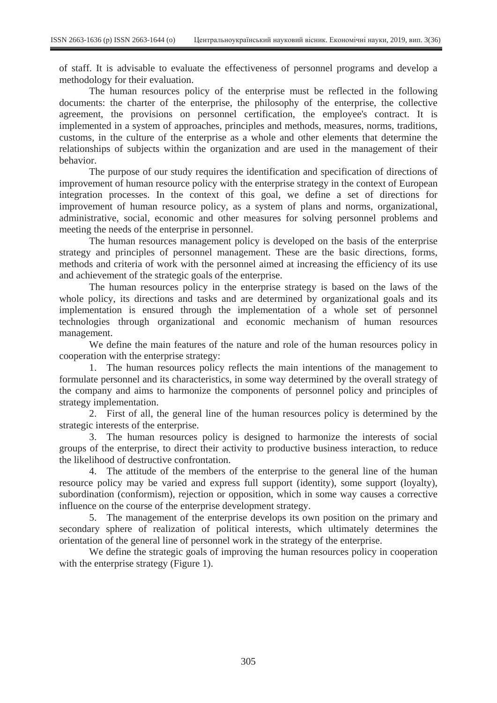of staff. It is advisable to evaluate the effectiveness of personnel programs and develop a methodology for their evaluation.

The human resources policy of the enterprise must be reflected in the following documents: the charter of the enterprise, the philosophy of the enterprise, the collective agreement, the provisions on personnel certification, the employee's contract. It is implemented in a system of approaches, principles and methods, measures, norms, traditions, customs, in the culture of the enterprise as a whole and other elements that determine the relationships of subjects within the organization and are used in the management of their behavior.

The purpose of our study requires the identification and specification of directions of improvement of human resource policy with the enterprise strategy in the context of European integration processes. In the context of this goal, we define a set of directions for improvement of human resource policy, as a system of plans and norms, organizational, administrative, social, economic and other measures for solving personnel problems and meeting the needs of the enterprise in personnel.

The human resources management policy is developed on the basis of the enterprise strategy and principles of personnel management. These are the basic directions, forms, methods and criteria of work with the personnel aimed at increasing the efficiency of its use and achievement of the strategic goals of the enterprise.

The human resources policy in the enterprise strategy is based on the laws of the whole policy, its directions and tasks and are determined by organizational goals and its implementation is ensured through the implementation of a whole set of personnel technologies through organizational and economic mechanism of human resources management.

We define the main features of the nature and role of the human resources policy in cooperation with the enterprise strategy:

1. The human resources policy reflects the main intentions of the management to formulate personnel and its characteristics, in some way determined by the overall strategy of the company and aims to harmonize the components of personnel policy and principles of strategy implementation.

2. First of all, the general line of the human resources policy is determined by the strategic interests of the enterprise.

3. The human resources policy is designed to harmonize the interests of social groups of the enterprise, to direct their activity to productive business interaction, to reduce the likelihood of destructive confrontation.

4. The attitude of the members of the enterprise to the general line of the human resource policy may be varied and express full support (identity), some support (loyalty), subordination (conformism), rejection or opposition, which in some way causes a corrective influence on the course of the enterprise development strategy.

5. The management of the enterprise develops its own position on the primary and secondary sphere of realization of political interests, which ultimately determines the orientation of the general line of personnel work in the strategy of the enterprise.

We define the strategic goals of improving the human resources policy in cooperation with the enterprise strategy (Figure 1).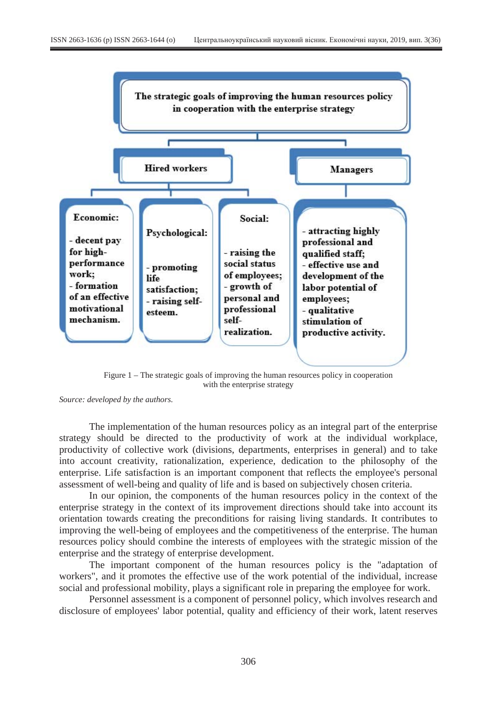

Figure 1 – The strategic goals of improving the human resources policy in cooperation with the enterprise strategy

*Source: developed by the authors.* 

The implementation of the human resources policy as an integral part of the enterprise strategy should be directed to the productivity of work at the individual workplace, productivity of collective work (divisions, departments, enterprises in general) and to take into account creativity, rationalization, experience, dedication to the philosophy of the enterprise. Life satisfaction is an important component that reflects the employee's personal assessment of well-being and quality of life and is based on subjectively chosen criteria.

In our opinion, the components of the human resources policy in the context of the enterprise strategy in the context of its improvement directions should take into account its orientation towards creating the preconditions for raising living standards. It contributes to improving the well-being of employees and the competitiveness of the enterprise. The human resources policy should combine the interests of employees with the strategic mission of the enterprise and the strategy of enterprise development.

The important component of the human resources policy is the "adaptation of workers", and it promotes the effective use of the work potential of the individual, increase social and professional mobility, plays a significant role in preparing the employee for work.

Personnel assessment is a component of personnel policy, which involves research and disclosure of employees' labor potential, quality and efficiency of their work, latent reserves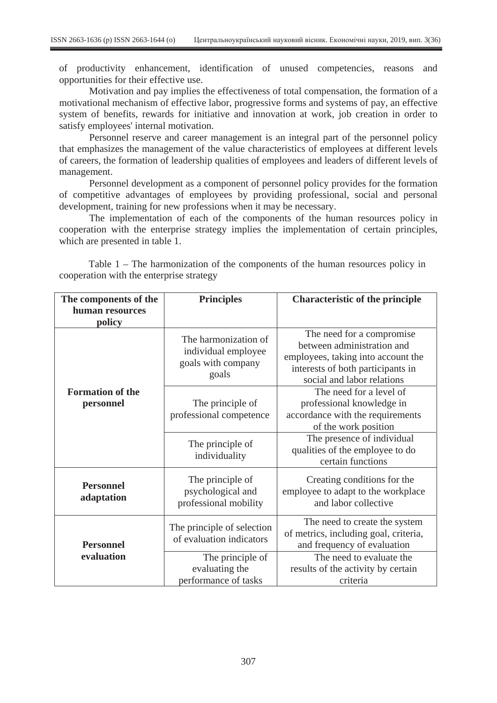of productivity enhancement, identification of unused competencies, reasons and opportunities for their effective use.

Motivation and pay implies the effectiveness of total compensation, the formation of a motivational mechanism of effective labor, progressive forms and systems of pay, an effective system of benefits, rewards for initiative and innovation at work, job creation in order to satisfy employees' internal motivation.

Personnel reserve and career management is an integral part of the personnel policy that emphasizes the management of the value characteristics of employees at different levels of careers, the formation of leadership qualities of employees and leaders of different levels of management.

Personnel development as a component of personnel policy provides for the formation of competitive advantages of employees by providing professional, social and personal development, training for new professions when it may be necessary.

The implementation of each of the components of the human resources policy in cooperation with the enterprise strategy implies the implementation of certain principles, which are presented in table 1.

| Table $1$ – The harmonization of the components of the human resources policy in |  |  |  |  |
|----------------------------------------------------------------------------------|--|--|--|--|
| cooperation with the enterprise strategy                                         |  |  |  |  |

| The components of the                | <b>Principles</b>                                                          | <b>Characteristic of the principle</b>                                                                                                                           |  |  |
|--------------------------------------|----------------------------------------------------------------------------|------------------------------------------------------------------------------------------------------------------------------------------------------------------|--|--|
| human resources<br>policy            |                                                                            |                                                                                                                                                                  |  |  |
| <b>Formation of the</b><br>personnel | The harmonization of<br>individual employee<br>goals with company<br>goals | The need for a compromise<br>between administration and<br>employees, taking into account the<br>interests of both participants in<br>social and labor relations |  |  |
|                                      | The principle of<br>professional competence                                | The need for a level of<br>professional knowledge in<br>accordance with the requirements<br>of the work position                                                 |  |  |
|                                      | The principle of<br>individuality                                          | The presence of individual<br>qualities of the employee to do<br>certain functions                                                                               |  |  |
| <b>Personnel</b><br>adaptation       | The principle of<br>psychological and<br>professional mobility             | Creating conditions for the<br>employee to adapt to the workplace<br>and labor collective                                                                        |  |  |
| <b>Personnel</b><br>evaluation       | The principle of selection<br>of evaluation indicators                     | The need to create the system<br>of metrics, including goal, criteria,<br>and frequency of evaluation                                                            |  |  |
|                                      | The principle of<br>evaluating the<br>performance of tasks                 | The need to evaluate the<br>results of the activity by certain<br>criteria                                                                                       |  |  |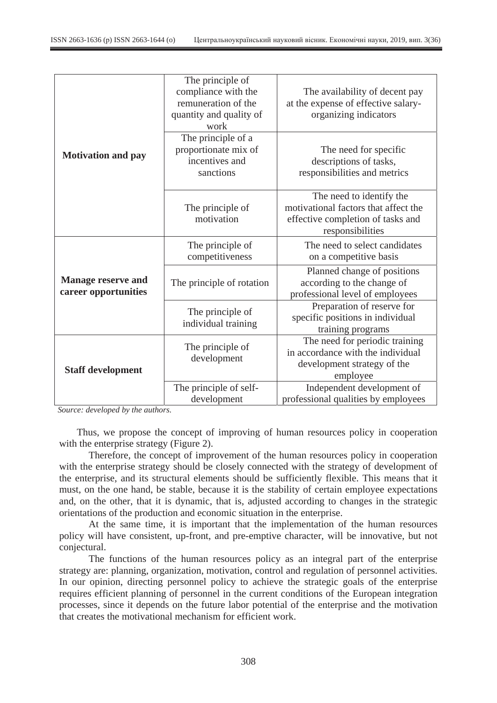|                                                   | The principle of<br>compliance with the<br>remuneration of the<br>quantity and quality of<br>work | The availability of decent pay<br>at the expense of effective salary-<br>organizing indicators                            |  |  |
|---------------------------------------------------|---------------------------------------------------------------------------------------------------|---------------------------------------------------------------------------------------------------------------------------|--|--|
| <b>Motivation and pay</b>                         | The principle of a<br>proportionate mix of<br>incentives and<br>sanctions                         | The need for specific<br>descriptions of tasks,<br>responsibilities and metrics                                           |  |  |
|                                                   | The principle of<br>motivation                                                                    | The need to identify the<br>motivational factors that affect the<br>effective completion of tasks and<br>responsibilities |  |  |
| <b>Manage reserve and</b><br>career opportunities | The principle of<br>competitiveness                                                               | The need to select candidates<br>on a competitive basis                                                                   |  |  |
|                                                   | The principle of rotation                                                                         | Planned change of positions<br>according to the change of<br>professional level of employees                              |  |  |
|                                                   | The principle of<br>individual training                                                           | Preparation of reserve for<br>specific positions in individual<br>training programs                                       |  |  |
| <b>Staff development</b>                          | The principle of<br>development                                                                   | The need for periodic training<br>in accordance with the individual<br>development strategy of the<br>employee            |  |  |
|                                                   | The principle of self-<br>development                                                             | Independent development of<br>professional qualities by employees                                                         |  |  |

*Source: developed by the authors.* 

Thus, we propose the concept of improving of human resources policy in cooperation with the enterprise strategy (Figure 2).

Therefore, the concept of improvement of the human resources policy in cooperation with the enterprise strategy should be closely connected with the strategy of development of the enterprise, and its structural elements should be sufficiently flexible. This means that it must, on the one hand, be stable, because it is the stability of certain employee expectations and, on the other, that it is dynamic, that is, adjusted according to changes in the strategic orientations of the production and economic situation in the enterprise.

At the same time, it is important that the implementation of the human resources policy will have consistent, up-front, and pre-emptive character, will be innovative, but not conjectural.

The functions of the human resources policy as an integral part of the enterprise strategy are: planning, organization, motivation, control and regulation of personnel activities. In our opinion, directing personnel policy to achieve the strategic goals of the enterprise requires efficient planning of personnel in the current conditions of the European integration processes, since it depends on the future labor potential of the enterprise and the motivation that creates the motivational mechanism for efficient work.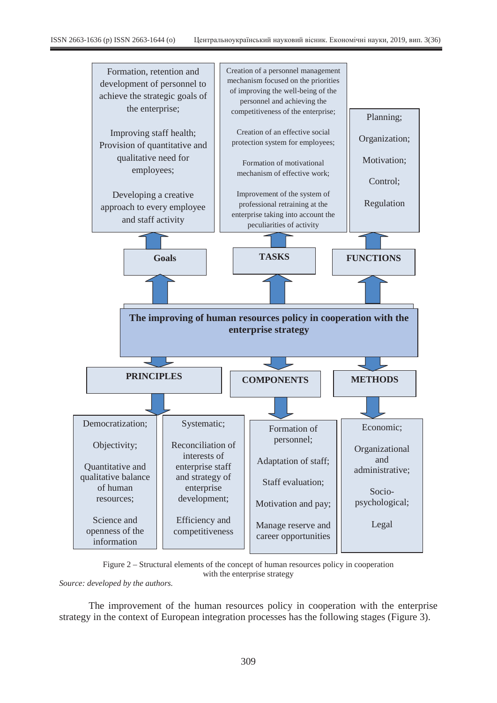

Figure 2 – Structural elements of the concept of human resources policy in cooperation with the enterprise strategy

*Source: developed by the authors.* 

The improvement of the human resources policy in cooperation with the enterprise strategy in the context of European integration processes has the following stages (Figure 3).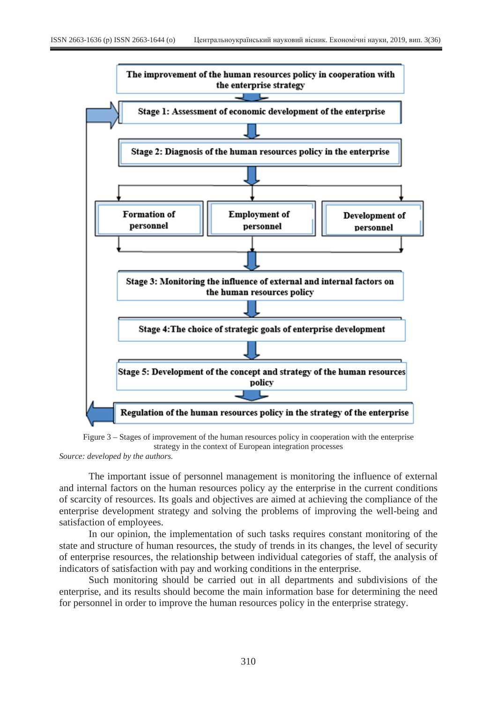



*Source: developed by the authors.* 

The important issue of personnel management is monitoring the influence of external and internal factors on the human resources policy ay the enterprise in the current conditions of scarcity of resources. Its goals and objectives are aimed at achieving the compliance of the enterprise development strategy and solving the problems of improving the well-being and satisfaction of employees.

In our opinion, the implementation of such tasks requires constant monitoring of the state and structure of human resources, the study of trends in its changes, the level of security of enterprise resources, the relationship between individual categories of staff, the analysis of indicators of satisfaction with pay and working conditions in the enterprise.

Such monitoring should be carried out in all departments and subdivisions of the enterprise, and its results should become the main information base for determining the need for personnel in order to improve the human resources policy in the enterprise strategy.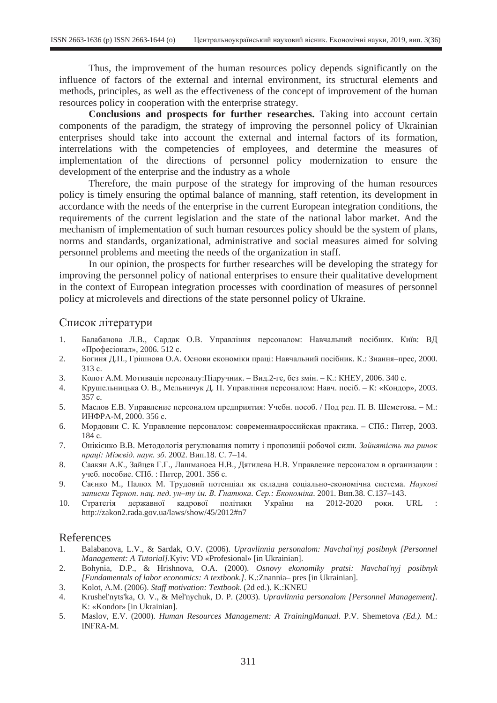Thus, the improvement of the human resources policy depends significantly on the influence of factors of the external and internal environment, its structural elements and methods, principles, as well as the effectiveness of the concept of improvement of the human resources policy in cooperation with the enterprise strategy.

**Conclusions and prospects for further researches.** Taking into account certain components of the paradigm, the strategy of improving the personnel policy of Ukrainian enterprises should take into account the external and internal factors of its formation, interrelations with the competencies of employees, and determine the measures of implementation of the directions of personnel policy modernization to ensure the development of the enterprise and the industry as a whole

Therefore, the main purpose of the strategy for improving of the human resources policy is timely ensuring the optimal balance of manning, staff retention, its development in accordance with the needs of the enterprise in the current European integration conditions, the requirements of the current legislation and the state of the national labor market. And the mechanism of implementation of such human resources policy should be the system of plans, norms and standards, organizational, administrative and social measures aimed for solving personnel problems and meeting the needs of the organization in staff.

In our opinion, the prospects for further researches will be developing the strategy for improving the personnel policy of national enterprises to ensure their qualitative development in the context of European integration processes with coordination of measures of personnel policy at microlevels and directions of the state personnel policy of Ukraine.

# Список літератури

- 1. Балабанова Л.В., Сардак О.В. Управління персоналом: Навчальний посібник. Київ: ВД «Професіонал», 2006. 512 с.
- 2. Богиня Д.П., Грішнова О.А. Основи економіки праці: Навчальний посібник. К.: Знання-прес, 2000. 313 c.
- 3. Колот А.М. Мотивація персоналу: Підручник. Вид.2-ге, без змін. К.: КНЕУ, 2006. 340 с.
- 4. Крушельницька О. В., Мельничук Д. П. Управління персоналом: Навч. посіб. К: «Кондор», 2003. 357 c.
- 5. Маслов Е.В. Управление персоналом предприятия: Учебн. пособ. / Под ред. П. В. Шеметова. М.: ИНФРА-М, 2000. 356 с.
- 6. Мордовии С. К. Управление персоналом: современнаяроссийская практика. СПб.: Питер, 2003. 184 c.
- 7. Онікієнко В.В. Методологія регулювання попиту і пропозиції робочої сили. Зайнятість та ринок *праці: Міжвід. наук. зб.* 2002. Вип.18. С. 7-14.
- 8. Саакян А.К., Зайцев Г.Г., Лашманоеа Н.В., Дягилева Н.В. Управление персоналом в организации: учеб. пособие. СПб. : Питер, 2001. 356 с.
- 9. Саєнко М., Палюх М. Трудовий потенціал як складна соціально-економічна система. Наукові *ɡɚɩɢɫɤɢ Ɍɟɪɧɨɩ. ɧɚɰ. ɩɟɞ. ɭɧ–ɬɭ ɿɦ. ȼ. Ƚɧɚɬɸɤɚ. ɋɟɪ.: ȿɤɨɧɨɦɿɤɚ*. 2001. ȼɢɩ.38. ɋ.137–143.
- 10. Стратегія державної кадрової політики України на 2012-2020 роки. URL : http://zakon2.rada.gov.ua/laws/show/45/2012#n7

# References

- 1. Balabanova, L.V., & Sardak, O.V. (2006). *Upravlinnia personalom: Navchal'nyj posibnyk [Personnel Management: A Tutorial].*Kyiv: VD «Profesional» [in Ukrainian].
- 2. Bohynia, D.P., & Hrishnova, O.A. (2000). *Osnovy ekonomiky pratsi: Navchal'nyj posibnyk [Fundamentals of labor economics: A textbook.].* K.:Znannia– pres [in Ukrainian].
- 3. Kolot, A.M. (2006). *Staff motivation: Textbook.* (2d ed.). K.:KNEU
- 4. Krushel'nyts'ka, O. V., & Mel'nychuk, D. P. (2003). *Upravlinnia personalom [Personnel Management].* K: «Kondor» [in Ukrainian].
- 5. Maslov, E.V. (2000). *Human Resources Management: A TrainingManual.* P.V. Shemetova *(Ed.).* M.: INFRA-M.